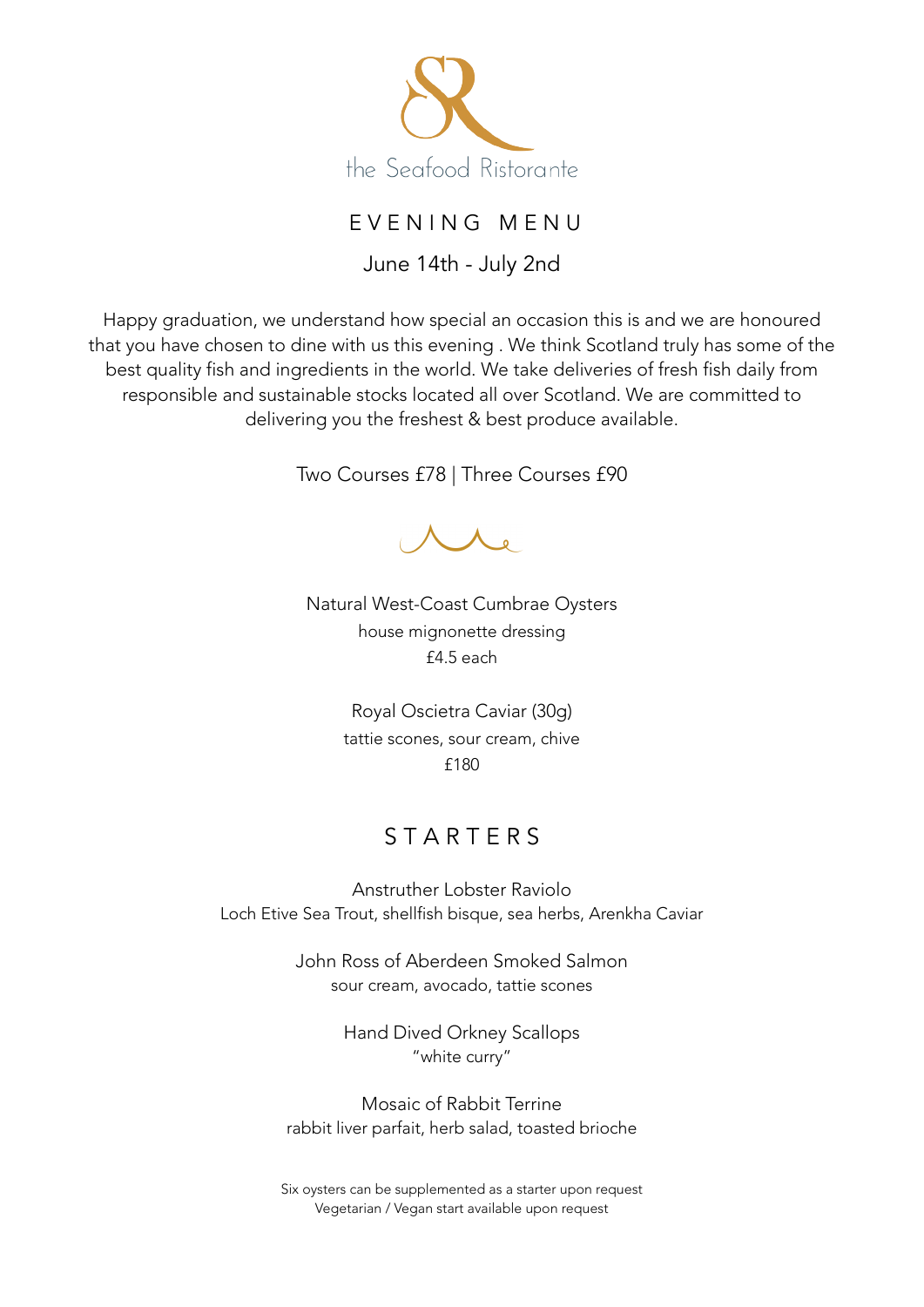

# E V E N I N G M E N U

June 14th - July 2nd

Happy graduation, we understand how special an occasion this is and we are honoured that you have chosen to dine with us this evening . We think Scotland truly has some of the best quality fish and ingredients in the world. We take deliveries of fresh fish daily from responsible and sustainable stocks located all over Scotland. We are committed to delivering you the freshest & best produce available.

Two Courses £78 | Three Courses £90

Natural West-Coast Cumbrae Oysters house mignonette dressing  $f4.5$  each

> Royal Oscietra Caviar (30g) tattie scones, sour cream, chive £180

# **STARTFRS**

Anstruther Lobster Raviolo Loch Etive Sea Trout, shellfish bisque, sea herbs, Arenkha Caviar

> John Ross of Aberdeen Smoked Salmon sour cream, avocado, tattie scones

> > Hand Dived Orkney Scallops "white curry"

Mosaic of Rabbit Terrine rabbit liver parfait, herb salad, toasted brioche

Six oysters can be supplemented as a starter upon request Vegetarian / Vegan start available upon request